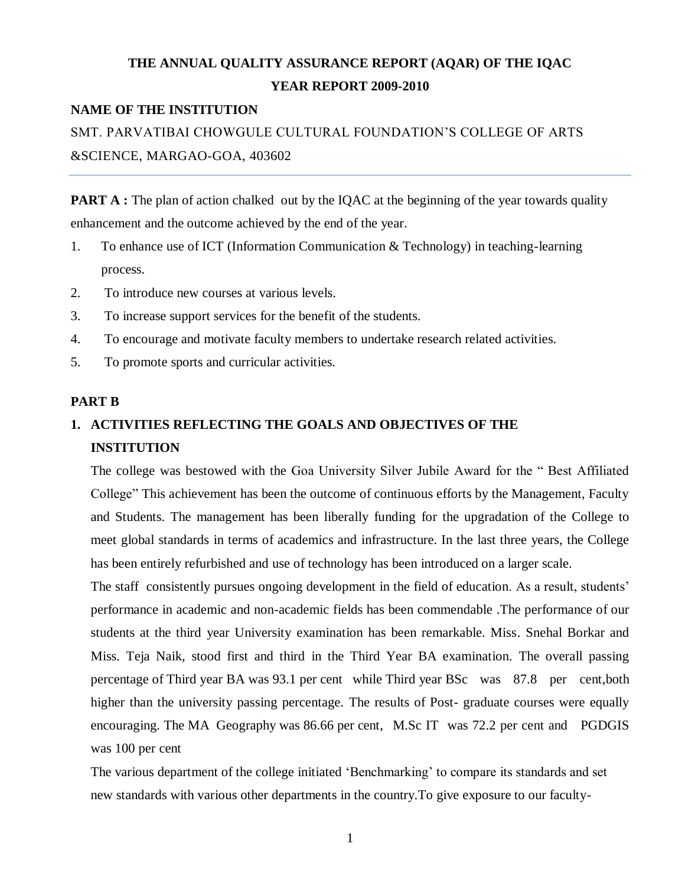# **THE ANNUAL QUALITY ASSURANCE REPORT (AQAR) OF THE IQAC YEAR REPORT 2009-2010**

# **NAME OF THE INSTITUTION**

SMT. PARVATIBAI CHOWGULE CULTURAL FOUNDATION"S COLLEGE OF ARTS &SCIENCE, MARGAO-GOA, 403602

**PART A :** The plan of action chalked out by the IQAC at the beginning of the year towards quality enhancement and the outcome achieved by the end of the year.

- 1. To enhance use of ICT (Information Communication & Technology) in teaching-learning process.
- 2. To introduce new courses at various levels.
- 3. To increase support services for the benefit of the students.
- 4. To encourage and motivate faculty members to undertake research related activities.
- 5. To promote sports and curricular activities.

## **PART B**

# **1. ACTIVITIES REFLECTING THE GOALS AND OBJECTIVES OF THE INSTITUTION**

The college was bestowed with the Goa University Silver Jubile Award for the " Best Affiliated College" This achievement has been the outcome of continuous efforts by the Management, Faculty and Students. The management has been liberally funding for the upgradation of the College to meet global standards in terms of academics and infrastructure. In the last three years, the College has been entirely refurbished and use of technology has been introduced on a larger scale.

The staff consistently pursues ongoing development in the field of education. As a result, students' performance in academic and non-academic fields has been commendable .The performance of our students at the third year University examination has been remarkable. Miss. Snehal Borkar and Miss. Teja Naik, stood first and third in the Third Year BA examination. The overall passing percentage of Third year BA was 93.1 per cent while Third year BSc was 87.8 per cent,both higher than the university passing percentage. The results of Post- graduate courses were equally encouraging. The MA Geography was 86.66 per cent, M.Sc IT was 72.2 per cent and PGDGIS was 100 per cent

The various department of the college initiated 'Benchmarking' to compare its standards and set new standards with various other departments in the country.To give exposure to our faculty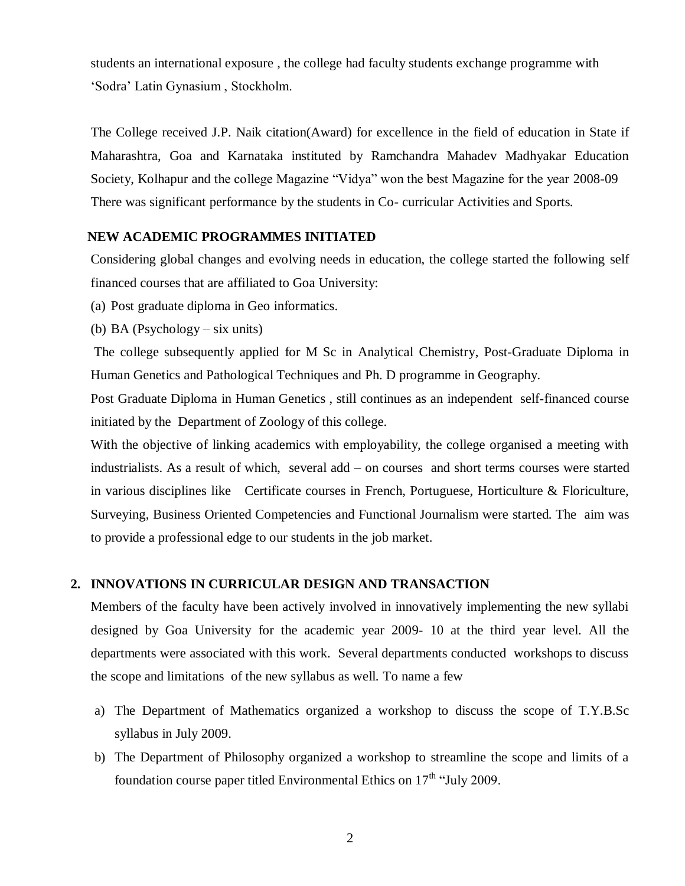students an international exposure , the college had faculty students exchange programme with "Sodra" Latin Gynasium , Stockholm.

The College received J.P. Naik citation(Award) for excellence in the field of education in State if Maharashtra, Goa and Karnataka instituted by Ramchandra Mahadev Madhyakar Education Society, Kolhapur and the college Magazine "Vidya" won the best Magazine for the year 2008-09 There was significant performance by the students in Co- curricular Activities and Sports.

# **NEW ACADEMIC PROGRAMMES INITIATED**

Considering global changes and evolving needs in education, the college started the following self financed courses that are affiliated to Goa University:

- (a) Post graduate diploma in Geo informatics.
- (b) BA (Psychology six units)

The college subsequently applied for M Sc in Analytical Chemistry, Post-Graduate Diploma in Human Genetics and Pathological Techniques and Ph. D programme in Geography.

Post Graduate Diploma in Human Genetics , still continues as an independent self-financed course initiated by the Department of Zoology of this college.

With the objective of linking academics with employability, the college organised a meeting with industrialists. As a result of which, several add – on courses and short terms courses were started in various disciplines like Certificate courses in French, Portuguese, Horticulture & Floriculture, Surveying, Business Oriented Competencies and Functional Journalism were started. The aim was to provide a professional edge to our students in the job market.

# **2. INNOVATIONS IN CURRICULAR DESIGN AND TRANSACTION**

Members of the faculty have been actively involved in innovatively implementing the new syllabi designed by Goa University for the academic year 2009- 10 at the third year level. All the departments were associated with this work. Several departments conducted workshops to discuss the scope and limitations of the new syllabus as well. To name a few

- a) The Department of Mathematics organized a workshop to discuss the scope of T.Y.B.Sc syllabus in July 2009.
- b) The Department of Philosophy organized a workshop to streamline the scope and limits of a foundation course paper titled Environmental Ethics on  $17<sup>th</sup>$  "July 2009.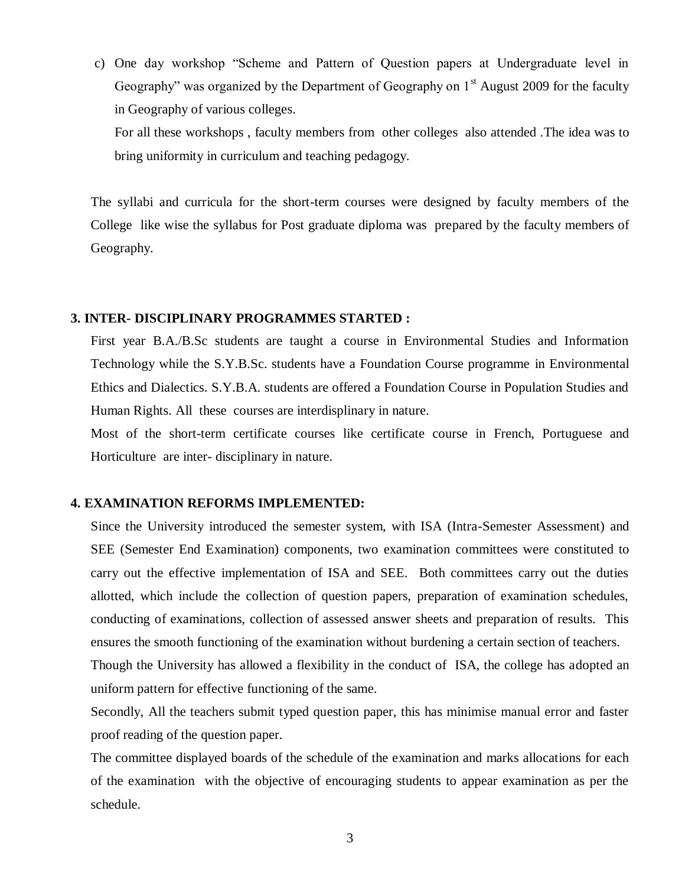c) One day workshop "Scheme and Pattern of Question papers at Undergraduate level in Geography" was organized by the Department of Geography on  $1<sup>st</sup>$  August 2009 for the faculty in Geography of various colleges.

For all these workshops , faculty members from other colleges also attended .The idea was to bring uniformity in curriculum and teaching pedagogy.

The syllabi and curricula for the short-term courses were designed by faculty members of the College like wise the syllabus for Post graduate diploma was prepared by the faculty members of Geography.

#### **3. INTER- DISCIPLINARY PROGRAMMES STARTED :**

First year B.A./B.Sc students are taught a course in Environmental Studies and Information Technology while the S.Y.B.Sc. students have a Foundation Course programme in Environmental Ethics and Dialectics. S.Y.B.A. students are offered a Foundation Course in Population Studies and Human Rights. All these courses are interdisplinary in nature.

Most of the short-term certificate courses like certificate course in French, Portuguese and Horticulture are inter- disciplinary in nature.

#### **4. EXAMINATION REFORMS IMPLEMENTED:**

Since the University introduced the semester system, with ISA (Intra-Semester Assessment) and SEE (Semester End Examination) components, two examination committees were constituted to carry out the effective implementation of ISA and SEE. Both committees carry out the duties allotted, which include the collection of question papers, preparation of examination schedules, conducting of examinations, collection of assessed answer sheets and preparation of results. This ensures the smooth functioning of the examination without burdening a certain section of teachers.

Though the University has allowed a flexibility in the conduct of ISA, the college has adopted an uniform pattern for effective functioning of the same.

Secondly, All the teachers submit typed question paper, this has minimise manual error and faster proof reading of the question paper.

The committee displayed boards of the schedule of the examination and marks allocations for each of the examination with the objective of encouraging students to appear examination as per the schedule.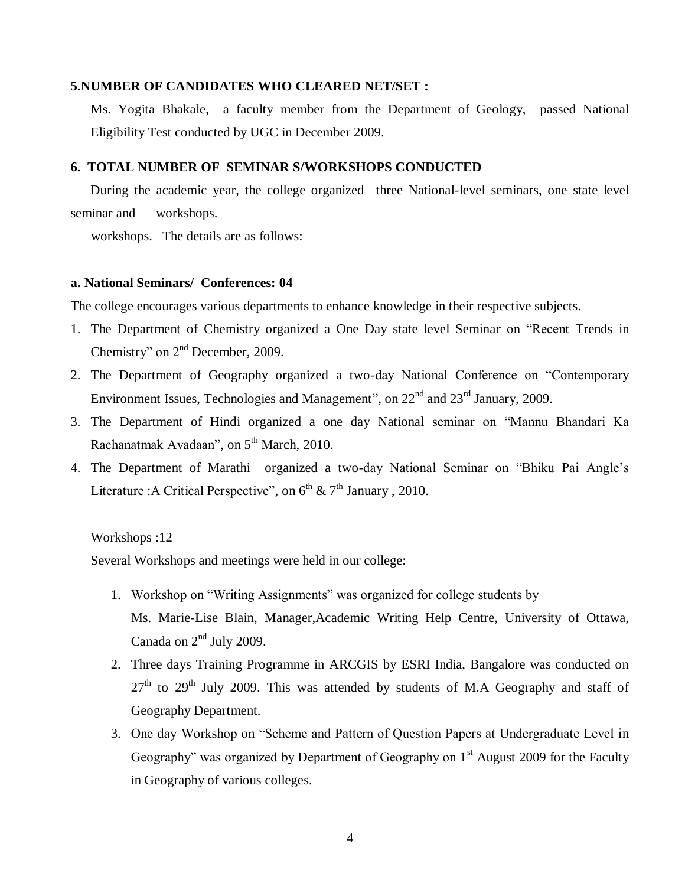## **5.NUMBER OF CANDIDATES WHO CLEARED NET/SET :**

Ms. Yogita Bhakale, a faculty member from the Department of Geology, passed National Eligibility Test conducted by UGC in December 2009.

## **6. TOTAL NUMBER OF SEMINAR S/WORKSHOPS CONDUCTED**

 During the academic year, the college organized three National-level seminars, one state level seminar and workshops.

workshops. The details are as follows:

#### **a. National Seminars/ Conferences: 04**

The college encourages various departments to enhance knowledge in their respective subjects.

- 1. The Department of Chemistry organized a One Day state level Seminar on "Recent Trends in Chemistry" on  $2<sup>nd</sup>$  December, 2009.
- 2. The Department of Geography organized a two-day National Conference on "Contemporary Environment Issues, Technologies and Management", on  $22<sup>nd</sup>$  and  $23<sup>rd</sup>$  January, 2009.
- 3. The Department of Hindi organized a one day National seminar on "Mannu Bhandari Ka Rachanatmak Avadaan", on 5<sup>th</sup> March, 2010.
- 4. The Department of Marathi organized a two-day National Seminar on "Bhiku Pai Angle"s Literature : A Critical Perspective", on  $6^{th}$  &  $7^{th}$  January, 2010.

## Workshops :12

Several Workshops and meetings were held in our college:

- 1. Workshop on "Writing Assignments" was organized for college students by Ms. Marie-Lise Blain, Manager,Academic Writing Help Centre, University of Ottawa, Canada on  $2<sup>nd</sup>$  July 2009.
- 2. Three days Training Programme in ARCGIS by ESRI India, Bangalore was conducted on  $27<sup>th</sup>$  to  $29<sup>th</sup>$  July 2009. This was attended by students of M.A Geography and staff of Geography Department.
- 3. One day Workshop on "Scheme and Pattern of Question Papers at Undergraduate Level in Geography" was organized by Department of Geography on  $1<sup>st</sup>$  August 2009 for the Faculty in Geography of various colleges.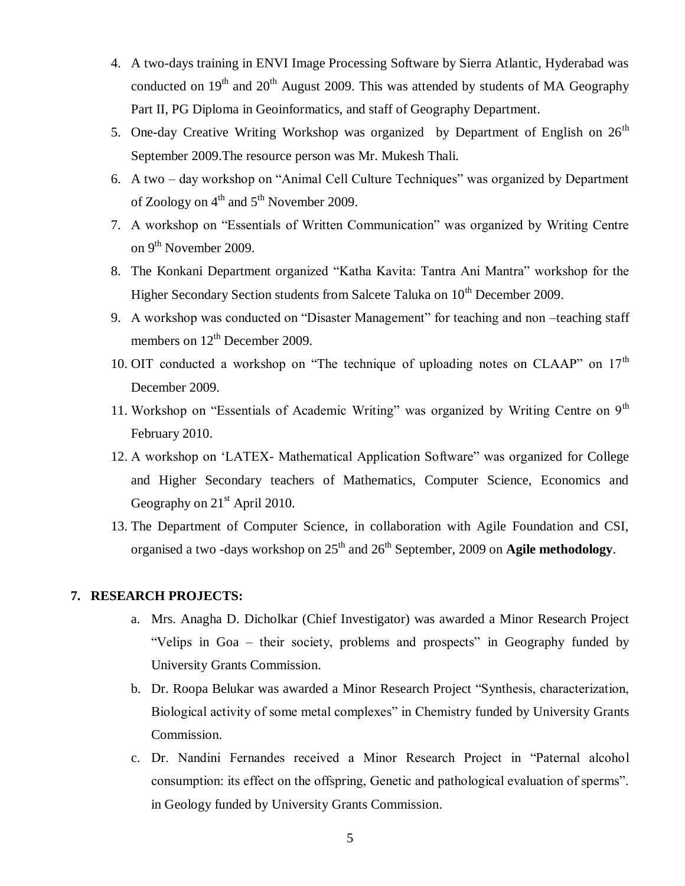- 4. A two-days training in ENVI Image Processing Software by Sierra Atlantic, Hyderabad was conducted on  $19<sup>th</sup>$  and  $20<sup>th</sup>$  August 2009. This was attended by students of MA Geography Part II, PG Diploma in Geoinformatics, and staff of Geography Department.
- 5. One-day Creative Writing Workshop was organized by Department of English on  $26<sup>th</sup>$ September 2009.The resource person was Mr. Mukesh Thali.
- 6. A two day workshop on "Animal Cell Culture Techniques" was organized by Department of Zoology on 4<sup>th</sup> and 5<sup>th</sup> November 2009.
- 7. A workshop on "Essentials of Written Communication" was organized by Writing Centre on 9<sup>th</sup> November 2009.
- 8. The Konkani Department organized "Katha Kavita: Tantra Ani Mantra" workshop for the Higher Secondary Section students from Salcete Taluka on  $10<sup>th</sup>$  December 2009.
- 9. A workshop was conducted on "Disaster Management" for teaching and non –teaching staff members on  $12<sup>th</sup>$  December 2009.
- 10. OIT conducted a workshop on "The technique of uploading notes on CLAAP" on  $17<sup>th</sup>$ December 2009.
- 11. Workshop on "Essentials of Academic Writing" was organized by Writing Centre on 9<sup>th</sup> February 2010.
- 12. A workshop on "LATEX- Mathematical Application Software" was organized for College and Higher Secondary teachers of Mathematics, Computer Science, Economics and Geography on  $21<sup>st</sup>$  April 2010.
- 13. The Department of Computer Science, in collaboration with Agile Foundation and CSI, organised a two -days workshop on 25<sup>th</sup> and 26<sup>th</sup> September, 2009 on **Agile methodology**.

#### **7. RESEARCH PROJECTS:**

- a. Mrs. Anagha D. Dicholkar (Chief Investigator) was awarded a Minor Research Project "Velips in Goa – their society, problems and prospects" in Geography funded by University Grants Commission.
- b. Dr. Roopa Belukar was awarded a Minor Research Project "Synthesis, characterization, Biological activity of some metal complexes" in Chemistry funded by University Grants Commission.
- c. Dr. Nandini Fernandes received a Minor Research Project in "Paternal alcohol consumption: its effect on the offspring, Genetic and pathological evaluation of sperms". in Geology funded by University Grants Commission.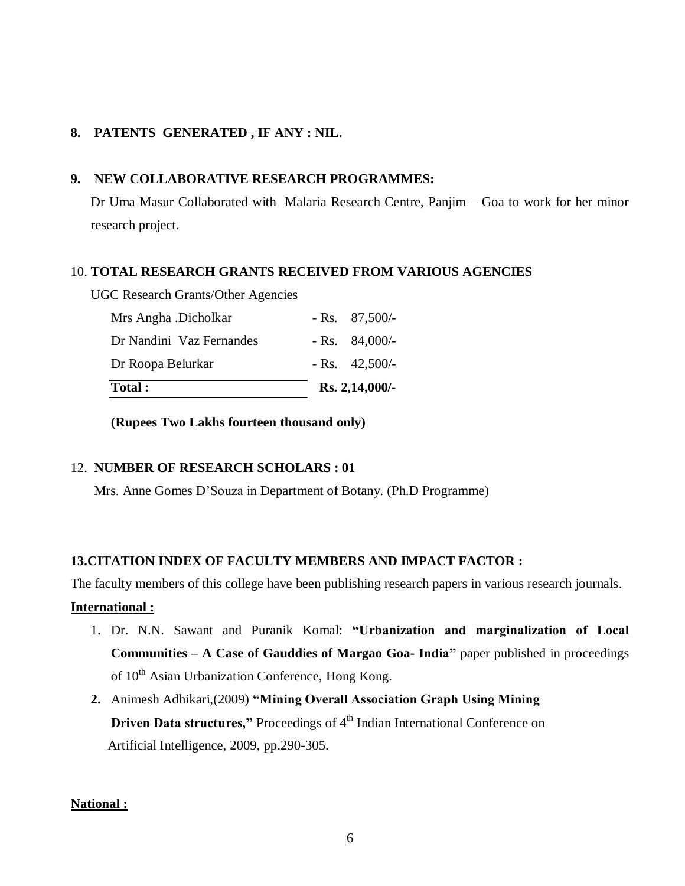# **8. PATENTS GENERATED , IF ANY : NIL.**

# **9. NEW COLLABORATIVE RESEARCH PROGRAMMES:**

Dr Uma Masur Collaborated with Malaria Research Centre, Panjim – Goa to work for her minor research project.

# 10. **TOTAL RESEARCH GRANTS RECEIVED FROM VARIOUS AGENCIES**

UGC Research Grants/Other Agencies

| <b>Total:</b>            | Rs. 2,14,000/- |                 |
|--------------------------|----------------|-----------------|
| Dr Roopa Belurkar        |                | $-Rs.$ 42,500/- |
| Dr Nandini Vaz Fernandes |                | $-Rs. 84,000/$  |
| Mrs Angha .Dicholkar     |                | $-Rs. 87,500/$  |

**(Rupees Two Lakhs fourteen thousand only)**

# 12. **NUMBER OF RESEARCH SCHOLARS : 01**

Mrs. Anne Gomes D"Souza in Department of Botany. (Ph.D Programme)

# **13.CITATION INDEX OF FACULTY MEMBERS AND IMPACT FACTOR :**

The faculty members of this college have been publishing research papers in various research journals.

# **International :**

- 1. Dr. N.N. Sawant and Puranik Komal: **"Urbanization and marginalization of Local Communities – A Case of Gauddies of Margao Goa- India"** paper published in proceedings of 10<sup>th</sup> Asian Urbanization Conference, Hong Kong.
- **2.** Animesh Adhikari,(2009) **"Mining Overall Association Graph Using Mining Driven Data structures,"** Proceedings of 4<sup>th</sup> Indian International Conference on Artificial Intelligence, 2009, pp.290-305.

# **National :**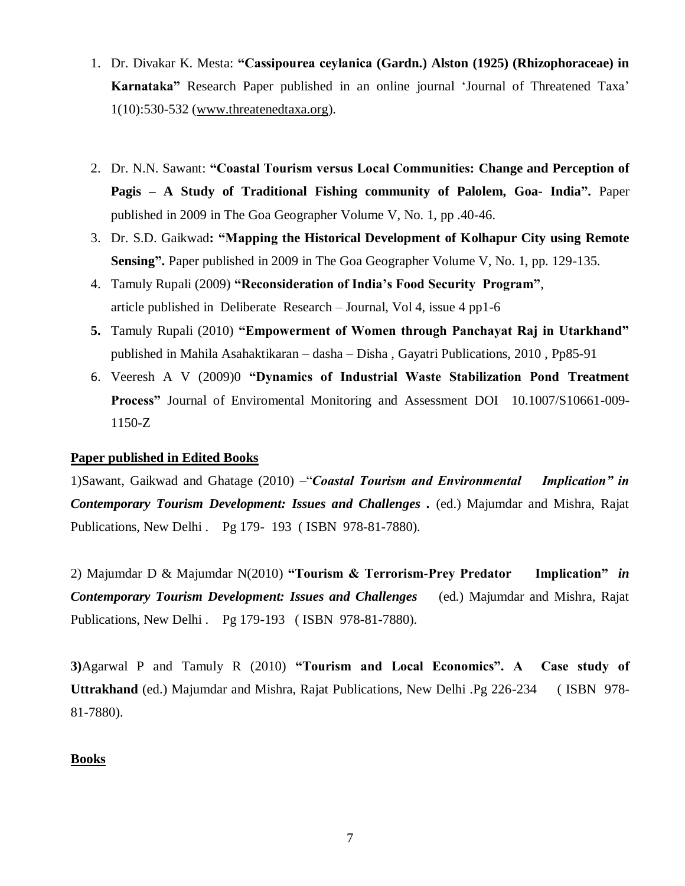- 1. Dr. Divakar K. Mesta: **"Cassipourea ceylanica (Gardn.) Alston (1925) (Rhizophoraceae) in Karnataka"** Research Paper published in an online journal "Journal of Threatened Taxa" 1(10):530-532 [\(www.threatenedtaxa.org\)](http://www.threatenedtaxa.org/).
- 2. Dr. N.N. Sawant: **"Coastal Tourism versus Local Communities: Change and Perception of Pagis – A Study of Traditional Fishing community of Palolem, Goa- India".** Paper published in 2009 in The Goa Geographer Volume V, No. 1, pp .40-46.
- 3. Dr. S.D. Gaikwad**: "Mapping the Historical Development of Kolhapur City using Remote Sensing".** Paper published in 2009 in The Goa Geographer Volume V, No. 1, pp. 129-135.
- 4. Tamuly Rupali (2009) **"Reconsideration of India's Food Security Program"**, article published in Deliberate Research – Journal, Vol 4, issue 4 pp1-6
- **5.** Tamuly Rupali (2010) **"Empowerment of Women through Panchayat Raj in Utarkhand"** published in Mahila Asahaktikaran – dasha – Disha , Gayatri Publications, 2010 , Pp85-91
- 6. Veeresh A V (2009)0 **"Dynamics of Industrial Waste Stabilization Pond Treatment Process"** Journal of Enviromental Monitoring and Assessment DOI 10.1007/S10661-009- 1150-Z

# **Paper published in Edited Books**

1)Sawant, Gaikwad and Ghatage (2010) –"*Coastal Tourism and Environmental Implication" in Contemporary Tourism Development: Issues and Challenges .* (ed.) Majumdar and Mishra, Rajat Publications, New Delhi . Pg 179- 193 ( ISBN 978-81-7880).

2) Majumdar D & Majumdar N(2010) **"Tourism & Terrorism-Prey Predator Implication"** *in Contemporary Tourism Development: Issues and Challenges* (ed.) Majumdar and Mishra, Rajat Publications, New Delhi . Pg 179-193 ( ISBN 978-81-7880).

**3)**Agarwal P and Tamuly R (2010) **"Tourism and Local Economics". A Case study of Uttrakhand** (ed.) Majumdar and Mishra, Rajat Publications, New Delhi .Pg 226-234 ( ISBN 978- 81-7880).

#### **Books**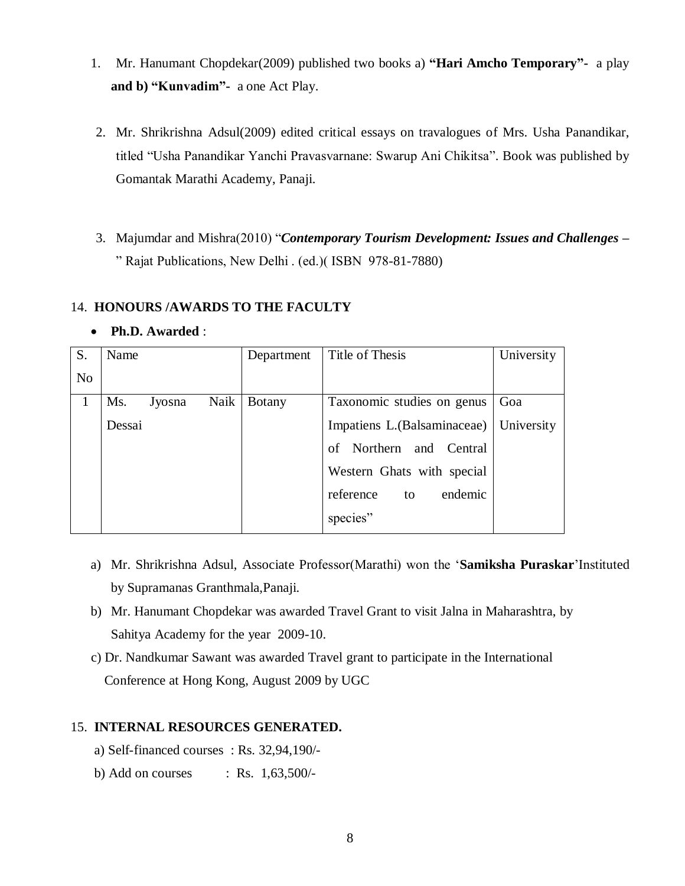- 1. Mr. Hanumant Chopdekar(2009) published two books a) **"Hari Amcho Temporary"-** a play **and b) "Kunvadim"-** a one Act Play.
- 2. Mr. Shrikrishna Adsul(2009) edited critical essays on travalogues of Mrs. Usha Panandikar, titled "Usha Panandikar Yanchi Pravasvarnane: Swarup Ani Chikitsa". Book was published by Gomantak Marathi Academy, Panaji.
- 3. Majumdar and Mishra(2010) "*Contemporary Tourism Development: Issues and Challenges –* " Rajat Publications, New Delhi . (ed.)( ISBN 978-81-7880)

# 14. **HONOURS /AWARDS TO THE FACULTY**

**Ph.D. Awarded** :

| S.             | Name          |      | Department    | Title of Thesis              | University |
|----------------|---------------|------|---------------|------------------------------|------------|
| N <sub>o</sub> |               |      |               |                              |            |
| 1              | Ms.<br>Jyosna | Naik | <b>Botany</b> | Taxonomic studies on genus   | Goa        |
|                | Dessai        |      |               | Impatiens L. (Balsaminaceae) | University |
|                |               |      |               | Northern and Central<br>of   |            |
|                |               |      |               | Western Ghats with special   |            |
|                |               |      |               | endemic<br>reference<br>to   |            |
|                |               |      |               | species"                     |            |

- a) Mr. Shrikrishna Adsul, Associate Professor(Marathi) won the "**Samiksha Puraskar**"Instituted by Supramanas Granthmala,Panaji.
- b) Mr. Hanumant Chopdekar was awarded Travel Grant to visit Jalna in Maharashtra, by Sahitya Academy for the year 2009-10.
- c) Dr. Nandkumar Sawant was awarded Travel grant to participate in the International Conference at Hong Kong, August 2009 by UGC

# 15. **INTERNAL RESOURCES GENERATED.**

- a) Self-financed courses : Rs. 32,94,190/-
- b) Add on courses : Rs.  $1,63,500/$ -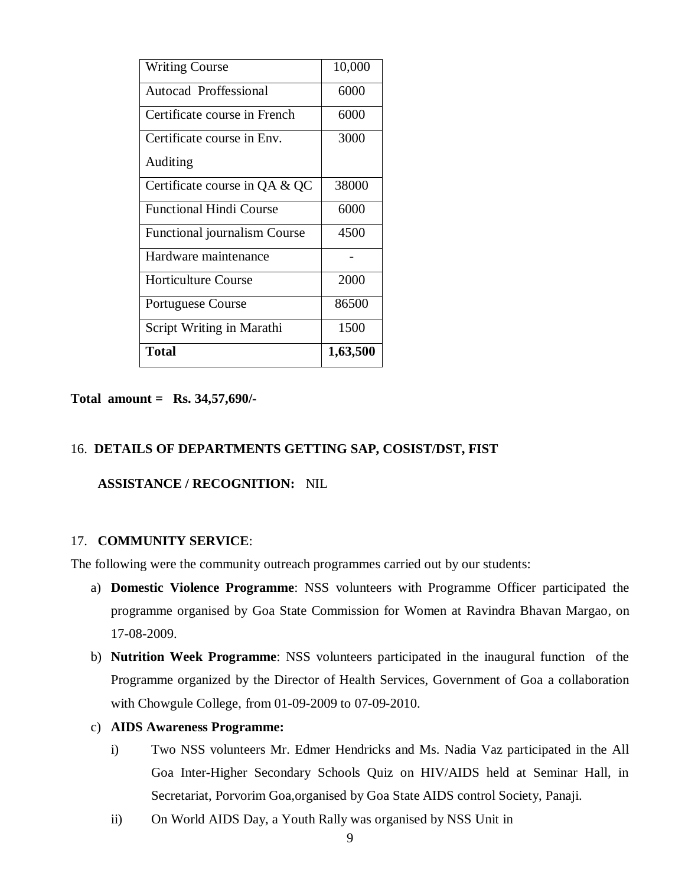| <b>Writing Course</b>          | 10,000   |
|--------------------------------|----------|
| Autocad Proffessional          | 6000     |
| Certificate course in French   | 6000     |
| Certificate course in Env.     | 3000     |
| Auditing                       |          |
| Certificate course in QA & QC  | 38000    |
| <b>Functional Hindi Course</b> | 6000     |
| Functional journalism Course   | 4500     |
| Hardware maintenance           |          |
| <b>Horticulture Course</b>     | 2000     |
| <b>Portuguese Course</b>       | 86500    |
| Script Writing in Marathi      | 1500     |
| Total                          | 1,63,500 |

**Total amount = Rs. 34,57,690/-**

# 16. **DETAILS OF DEPARTMENTS GETTING SAP, COSIST/DST, FIST**

# **ASSISTANCE / RECOGNITION:** NIL

#### 17. **COMMUNITY SERVICE**:

The following were the community outreach programmes carried out by our students:

- a) **Domestic Violence Programme**: NSS volunteers with Programme Officer participated the programme organised by Goa State Commission for Women at Ravindra Bhavan Margao, on 17-08-2009.
- b) **Nutrition Week Programme**: NSS volunteers participated in the inaugural function of the Programme organized by the Director of Health Services, Government of Goa a collaboration with Chowgule College, from 01-09-2009 to 07-09-2010.
- c) **AIDS Awareness Programme:**
	- i) Two NSS volunteers Mr. Edmer Hendricks and Ms. Nadia Vaz participated in the All Goa Inter-Higher Secondary Schools Quiz on HIV/AIDS held at Seminar Hall, in Secretariat, Porvorim Goa,organised by Goa State AIDS control Society, Panaji.
	- ii) On World AIDS Day, a Youth Rally was organised by NSS Unit in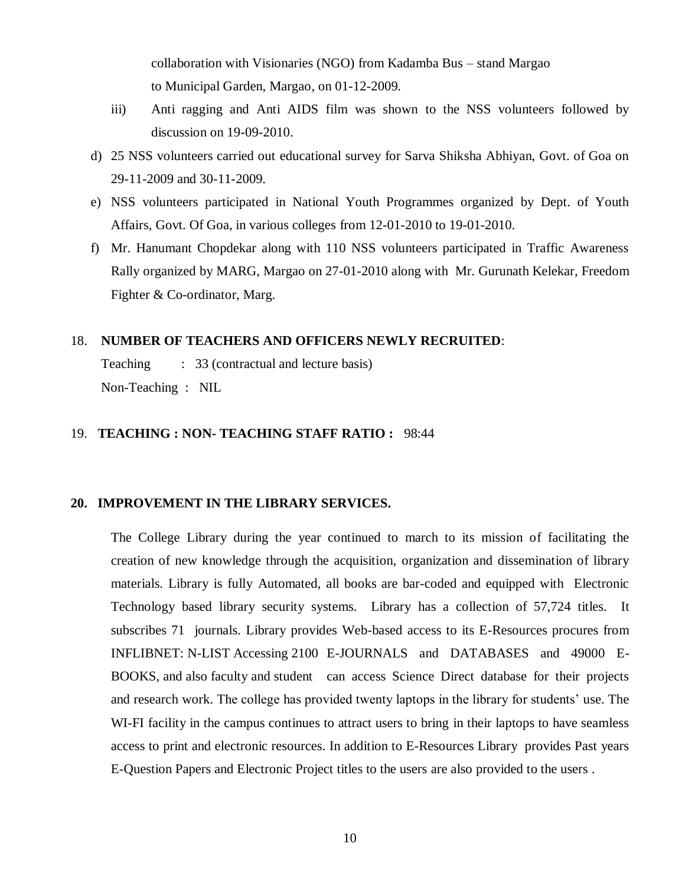collaboration with Visionaries (NGO) from Kadamba Bus – stand Margao to Municipal Garden, Margao, on 01-12-2009.

- iii) Anti ragging and Anti AIDS film was shown to the NSS volunteers followed by discussion on 19-09-2010.
- d) 25 NSS volunteers carried out educational survey for Sarva Shiksha Abhiyan, Govt. of Goa on 29-11-2009 and 30-11-2009.
- e) NSS volunteers participated in National Youth Programmes organized by Dept. of Youth Affairs, Govt. Of Goa, in various colleges from 12-01-2010 to 19-01-2010.
- f) Mr. Hanumant Chopdekar along with 110 NSS volunteers participated in Traffic Awareness Rally organized by MARG, Margao on 27-01-2010 along with Mr. Gurunath Kelekar, Freedom Fighter & Co-ordinator, Marg.

#### 18. **NUMBER OF TEACHERS AND OFFICERS NEWLY RECRUITED**:

Teaching : 33 (contractual and lecture basis) Non-Teaching : NIL

# 19. **TEACHING : NON- TEACHING STAFF RATIO :** 98:44

#### **20. IMPROVEMENT IN THE LIBRARY SERVICES.**

The College Library during the year continued to march to its mission of facilitating the creation of new knowledge through the acquisition, organization and dissemination of library materials. Library is fully Automated, all books are bar-coded and equipped with Electronic Technology based library security systems. Library has a collection of 57,724 titles. It subscribes 71 journals. Library provides Web-based access to its E-Resources procures from INFLIBNET: N-LIST Accessing 2100 E-JOURNALS and DATABASES and 49000 E-BOOKS, and also faculty and student can access Science Direct database for their projects and research work. The college has provided twenty laptops in the library for students' use. The WI-FI facility in the campus continues to attract users to bring in their laptops to have seamless access to print and electronic resources. In addition to E-Resources Library provides Past years E-Question Papers and Electronic Project titles to the users are also provided to the users .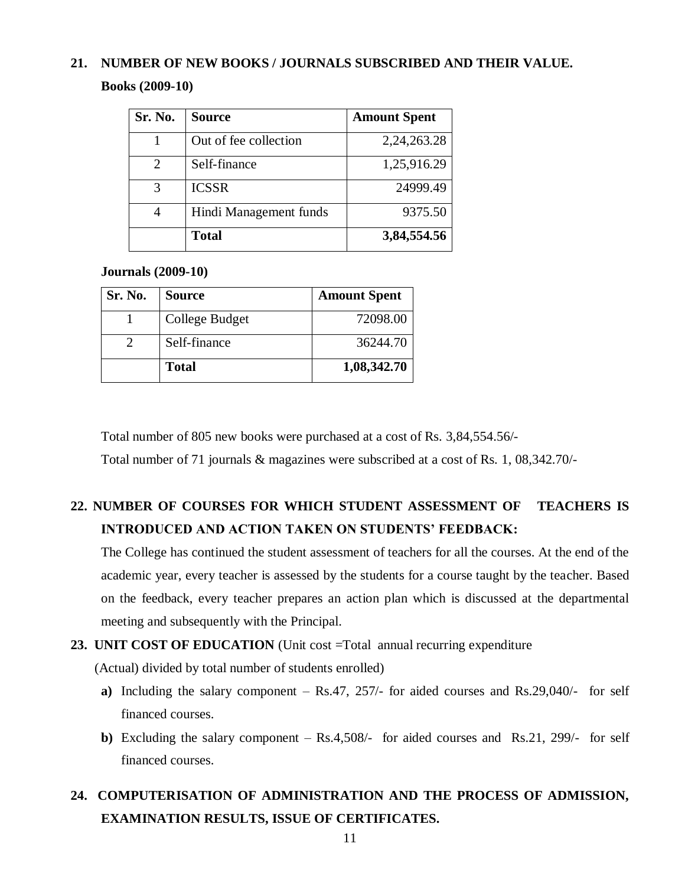# **21. NUMBER OF NEW BOOKS / JOURNALS SUBSCRIBED AND THEIR VALUE.**

**Books (2009-10)**

| Sr. No.                     | <b>Source</b>          | <b>Amount Spent</b> |
|-----------------------------|------------------------|---------------------|
|                             | Out of fee collection  | 2,24,263.28         |
| $\mathcal{D}_{\mathcal{L}}$ | Self-finance           | 1,25,916.29         |
| 3                           | <b>ICSSR</b>           | 24999.49            |
| 4                           | Hindi Management funds | 9375.50             |
|                             | <b>Total</b>           | 3,84,554.56         |

# **Journals (2009-10)**

| Sr. No. | <b>Source</b>  | <b>Amount Spent</b> |
|---------|----------------|---------------------|
|         | College Budget | 72098.00            |
|         | Self-finance   | 36244.70            |
|         | <b>Total</b>   | 1,08,342.70         |

Total number of 805 new books were purchased at a cost of Rs. 3,84,554.56/-

Total number of 71 journals & magazines were subscribed at a cost of Rs. 1, 08,342.70/-

# **22. NUMBER OF COURSES FOR WHICH STUDENT ASSESSMENT OF TEACHERS IS INTRODUCED AND ACTION TAKEN ON STUDENTS' FEEDBACK:**

The College has continued the student assessment of teachers for all the courses. At the end of the academic year, every teacher is assessed by the students for a course taught by the teacher. Based on the feedback, every teacher prepares an action plan which is discussed at the departmental meeting and subsequently with the Principal.

# **23. UNIT COST OF EDUCATION** (Unit cost =Total annual recurring expenditure

(Actual) divided by total number of students enrolled)

- **a)** Including the salary component Rs.47, 257/- for aided courses and Rs.29,040/- for self financed courses.
- **b)** Excluding the salary component Rs.4,508/- for aided courses and Rs.21, 299/- for self financed courses.

# **24. COMPUTERISATION OF ADMINISTRATION AND THE PROCESS OF ADMISSION, EXAMINATION RESULTS, ISSUE OF CERTIFICATES.**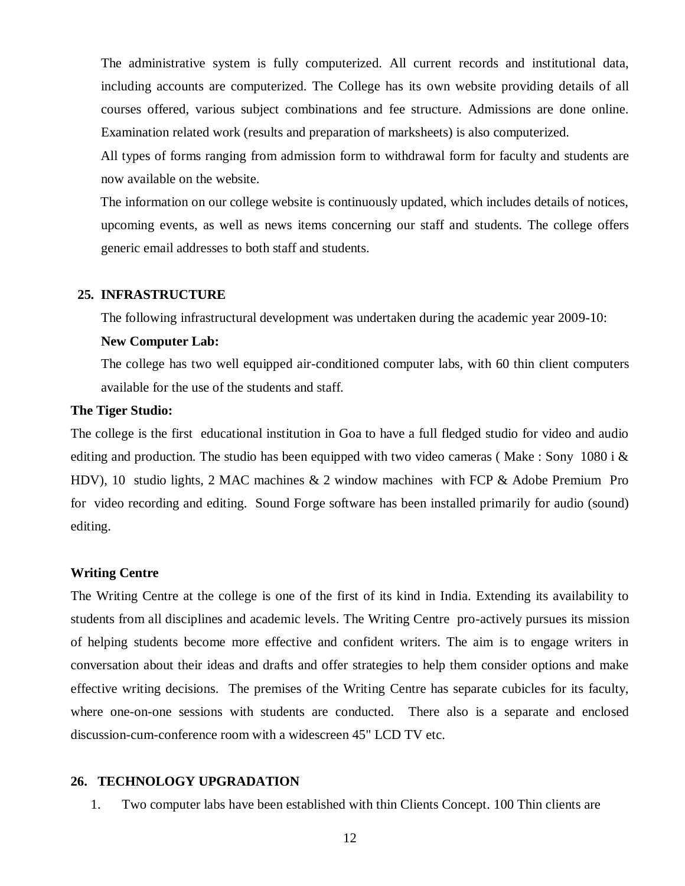The administrative system is fully computerized. All current records and institutional data, including accounts are computerized. The College has its own website providing details of all courses offered, various subject combinations and fee structure. Admissions are done online. Examination related work (results and preparation of marksheets) is also computerized.

 All types of forms ranging from admission form to withdrawal form for faculty and students are now available on the website.

 The information on our college website is continuously updated, which includes details of notices, upcoming events, as well as news items concerning our staff and students. The college offers generic email addresses to both staff and students.

#### **25. INFRASTRUCTURE**

The following infrastructural development was undertaken during the academic year 2009-10:

#### **New Computer Lab:**

The college has two well equipped air-conditioned computer labs, with 60 thin client computers available for the use of the students and staff.

#### **The Tiger Studio:**

The college is the first educational institution in Goa to have a full fledged studio for video and audio editing and production. The studio has been equipped with two video cameras (Make : Sony 1080 i  $\&$ HDV), 10 studio lights, 2 MAC machines & 2 window machines with FCP & Adobe Premium Pro for video recording and editing. Sound Forge software has been installed primarily for audio (sound) editing.

#### **Writing Centre**

The Writing Centre at the college is one of the first of its kind in India. Extending its availability to students from all disciplines and academic levels. The Writing Centre pro-actively pursues its mission of helping students become more effective and confident writers. The aim is to engage writers in conversation about their ideas and drafts and offer strategies to help them consider options and make effective writing decisions. The premises of the Writing Centre has separate cubicles for its faculty, where one-on-one sessions with students are conducted. There also is a separate and enclosed discussion-cum-conference room with a widescreen 45" LCD TV etc.

## **26. TECHNOLOGY UPGRADATION**

1. Two computer labs have been established with thin Clients Concept. 100 Thin clients are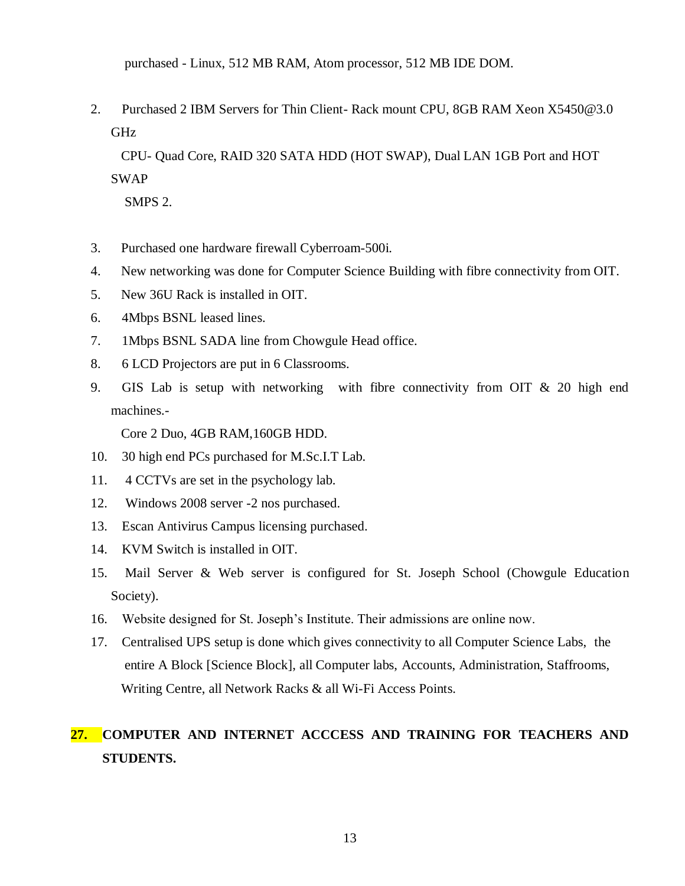purchased - Linux, 512 MB RAM, Atom processor, 512 MB IDE DOM.

2. Purchased 2 IBM Servers for Thin Client- Rack mount CPU, 8GB RAM Xeon X5450@3.0 GHz

 CPU- Quad Core, RAID 320 SATA HDD (HOT SWAP), Dual LAN 1GB Port and HOT SWAP

SMPS 2.

- 3. Purchased one hardware firewall Cyberroam-500i.
- 4. New networking was done for Computer Science Building with fibre connectivity from OIT.
- 5. New 36U Rack is installed in OIT.
- 6. 4Mbps BSNL leased lines.
- 7. 1Mbps BSNL SADA line from Chowgule Head office.
- 8. 6 LCD Projectors are put in 6 Classrooms.
- 9. GIS Lab is setup with networking with fibre connectivity from OIT & 20 high end machines.-

Core 2 Duo, 4GB RAM,160GB HDD.

- 10. 30 high end PCs purchased for M.Sc.I.T Lab.
- 11. 4 CCTVs are set in the psychology lab.
- 12. Windows 2008 server -2 nos purchased.
- 13. Escan Antivirus Campus licensing purchased.
- 14. KVM Switch is installed in OIT.
- 15. Mail Server & Web server is configured for St. Joseph School (Chowgule Education Society).
- 16. Website designed for St. Joseph"s Institute. Their admissions are online now.
- 17. Centralised UPS setup is done which gives connectivity to all Computer Science Labs, the entire A Block [Science Block], all Computer labs, Accounts, Administration, Staffrooms, Writing Centre, all Network Racks & all Wi-Fi Access Points.

# **27. COMPUTER AND INTERNET ACCCESS AND TRAINING FOR TEACHERS AND STUDENTS.**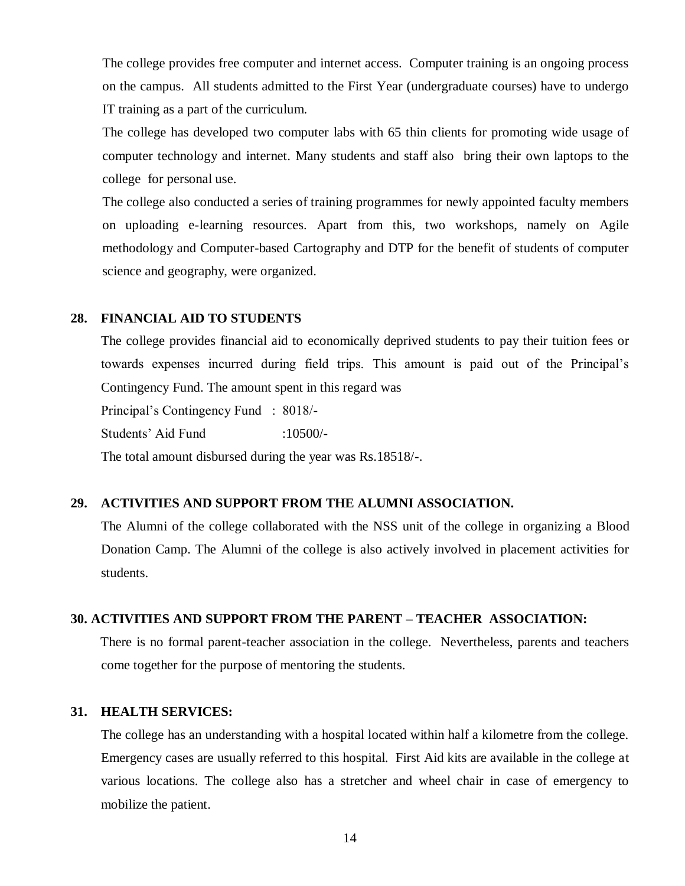The college provides free computer and internet access. Computer training is an ongoing process on the campus. All students admitted to the First Year (undergraduate courses) have to undergo IT training as a part of the curriculum.

The college has developed two computer labs with 65 thin clients for promoting wide usage of computer technology and internet. Many students and staff also bring their own laptops to the college for personal use.

The college also conducted a series of training programmes for newly appointed faculty members on uploading e-learning resources. Apart from this, two workshops, namely on Agile methodology and Computer-based Cartography and DTP for the benefit of students of computer science and geography, were organized.

#### **28. FINANCIAL AID TO STUDENTS**

The college provides financial aid to economically deprived students to pay their tuition fees or towards expenses incurred during field trips. This amount is paid out of the Principal"s Contingency Fund. The amount spent in this regard was Principal"s Contingency Fund : 8018/- Students' Aid Fund :10500/-

The total amount disbursed during the year was Rs.18518/-.

#### **29. ACTIVITIES AND SUPPORT FROM THE ALUMNI ASSOCIATION.**

The Alumni of the college collaborated with the NSS unit of the college in organizing a Blood Donation Camp. The Alumni of the college is also actively involved in placement activities for students.

# **30. ACTIVITIES AND SUPPORT FROM THE PARENT – TEACHER ASSOCIATION:**

There is no formal parent-teacher association in the college. Nevertheless, parents and teachers come together for the purpose of mentoring the students.

#### **31. HEALTH SERVICES:**

The college has an understanding with a hospital located within half a kilometre from the college. Emergency cases are usually referred to this hospital. First Aid kits are available in the college at various locations. The college also has a stretcher and wheel chair in case of emergency to mobilize the patient.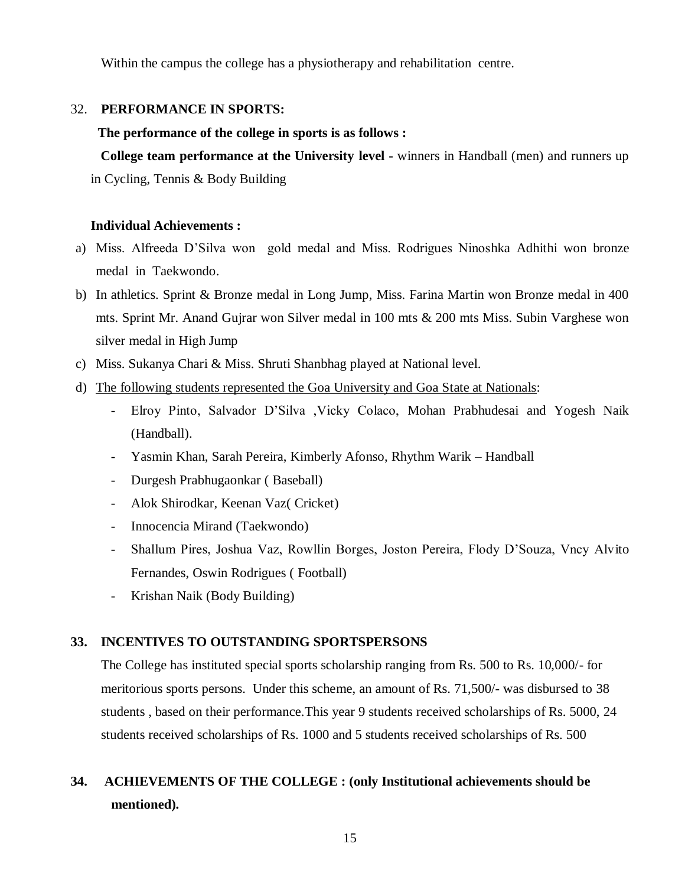Within the campus the college has a physiotherapy and rehabilitation centre.

# 32. **PERFORMANCE IN SPORTS:**

#### **The performance of the college in sports is as follows :**

 **College team performance at the University level -** winners in Handball (men) and runners up in Cycling, Tennis & Body Building

## **Individual Achievements :**

- a) Miss. Alfreeda D"Silva won gold medal and Miss. Rodrigues Ninoshka Adhithi won bronze medal in Taekwondo.
- b) In athletics. Sprint & Bronze medal in Long Jump, Miss. Farina Martin won Bronze medal in 400 mts. Sprint Mr. Anand Gujrar won Silver medal in 100 mts & 200 mts Miss. Subin Varghese won silver medal in High Jump
- c) Miss. Sukanya Chari & Miss. Shruti Shanbhag played at National level.
- d) The following students represented the Goa University and Goa State at Nationals:
	- Elroy Pinto, Salvador D"Silva ,Vicky Colaco, Mohan Prabhudesai and Yogesh Naik (Handball).
	- Yasmin Khan, Sarah Pereira, Kimberly Afonso, Rhythm Warik Handball
	- Durgesh Prabhugaonkar ( Baseball)
	- Alok Shirodkar, Keenan Vaz( Cricket)
	- Innocencia Mirand (Taekwondo)
	- Shallum Pires, Joshua Vaz, Rowllin Borges, Joston Pereira, Flody D"Souza, Vncy Alvito Fernandes, Oswin Rodrigues ( Football)
	- Krishan Naik (Body Building)

# **33. INCENTIVES TO OUTSTANDING SPORTSPERSONS**

The College has instituted special sports scholarship ranging from Rs. 500 to Rs. 10,000/- for meritorious sports persons. Under this scheme, an amount of Rs. 71,500/- was disbursed to 38 students , based on their performance.This year 9 students received scholarships of Rs. 5000, 24 students received scholarships of Rs. 1000 and 5 students received scholarships of Rs. 500

# **34. ACHIEVEMENTS OF THE COLLEGE : (only Institutional achievements should be mentioned).**

15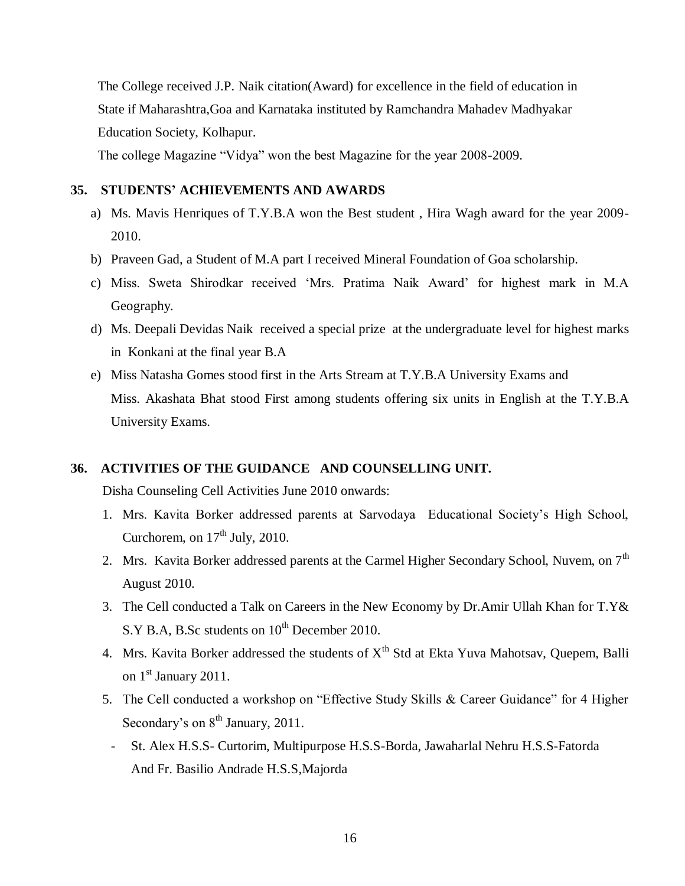The College received J.P. Naik citation(Award) for excellence in the field of education in State if Maharashtra,Goa and Karnataka instituted by Ramchandra Mahadev Madhyakar Education Society, Kolhapur.

The college Magazine "Vidya" won the best Magazine for the year 2008-2009.

#### **35. STUDENTS' ACHIEVEMENTS AND AWARDS**

- a) Ms. Mavis Henriques of T.Y.B.A won the Best student , Hira Wagh award for the year 2009- 2010.
- b) Praveen Gad, a Student of M.A part I received Mineral Foundation of Goa scholarship.
- c) Miss. Sweta Shirodkar received "Mrs. Pratima Naik Award" for highest mark in M.A Geography.
- d) Ms. Deepali Devidas Naik received a special prize at the undergraduate level for highest marks in Konkani at the final year B.A
- e) Miss Natasha Gomes stood first in the Arts Stream at T.Y.B.A University Exams and Miss. Akashata Bhat stood First among students offering six units in English at the T.Y.B.A University Exams.

# **36. ACTIVITIES OF THE GUIDANCE AND COUNSELLING UNIT.**

Disha Counseling Cell Activities June 2010 onwards:

- 1. Mrs. Kavita Borker addressed parents at Sarvodaya Educational Society"s High School, Curchorem, on  $17<sup>th</sup>$  July, 2010.
- 2. Mrs. Kavita Borker addressed parents at the Carmel Higher Secondary School, Nuvem, on  $7<sup>th</sup>$ August 2010.
- 3. The Cell conducted a Talk on Careers in the New Economy by Dr.Amir Ullah Khan for T.Y& S.Y B.A, B.Sc students on  $10^{th}$  December 2010.
- 4. Mrs. Kavita Borker addressed the students of  $X<sup>th</sup>$  Std at Ekta Yuva Mahotsav, Quepem, Balli on  $1^{\text{st}}$  January 2011.
- 5. The Cell conducted a workshop on "Effective Study Skills & Career Guidance" for 4 Higher Secondary's on  $8<sup>th</sup>$  January, 2011.
- St. Alex H.S.S- Curtorim, Multipurpose H.S.S-Borda, Jawaharlal Nehru H.S.S-Fatorda And Fr. Basilio Andrade H.S.S,Majorda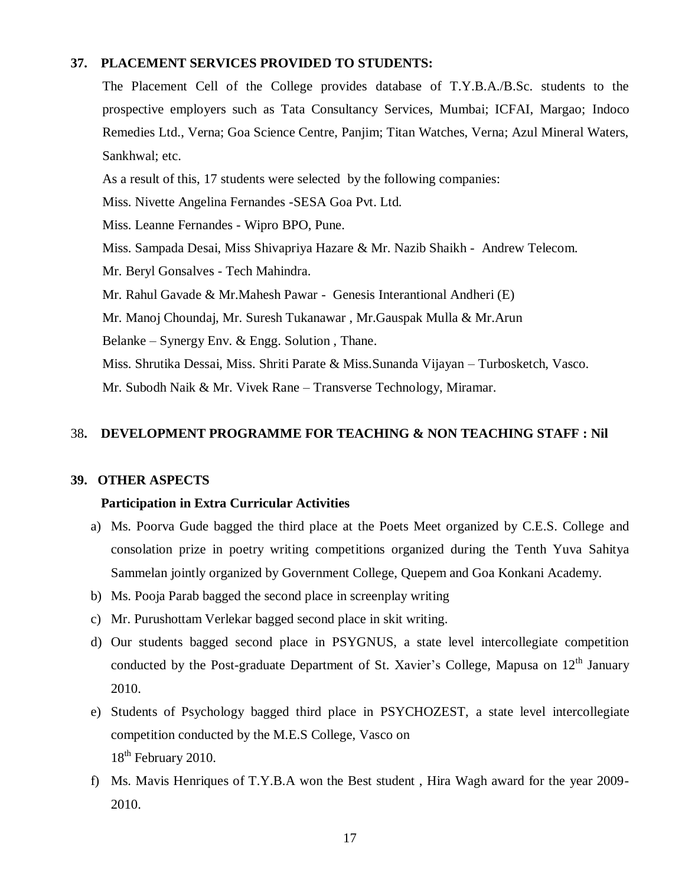#### **37. PLACEMENT SERVICES PROVIDED TO STUDENTS:**

The Placement Cell of the College provides database of T.Y.B.A./B.Sc. students to the prospective employers such as Tata Consultancy Services, Mumbai; ICFAI, Margao; Indoco Remedies Ltd., Verna; Goa Science Centre, Panjim; Titan Watches, Verna; Azul Mineral Waters, Sankhwal; etc.

As a result of this, 17 students were selected by the following companies:

Miss. Nivette Angelina Fernandes -SESA Goa Pvt. Ltd.

Miss. Leanne Fernandes - Wipro BPO, Pune.

Miss. Sampada Desai, Miss Shivapriya Hazare & Mr. Nazib Shaikh - Andrew Telecom.

Mr. Beryl Gonsalves - Tech Mahindra.

Mr. Rahul Gavade & Mr.Mahesh Pawar - Genesis Interantional Andheri (E)

Mr. Manoj Choundaj, Mr. Suresh Tukanawar , Mr.Gauspak Mulla & Mr.Arun

Belanke – Synergy Env. & Engg. Solution , Thane.

Miss. Shrutika Dessai, Miss. Shriti Parate & Miss.Sunanda Vijayan – Turbosketch, Vasco. Mr. Subodh Naik & Mr. Vivek Rane – Transverse Technology, Miramar.

# 38**. DEVELOPMENT PROGRAMME FOR TEACHING & NON TEACHING STAFF : Nil**

#### **39. OTHER ASPECTS**

#### **Participation in Extra Curricular Activities**

- a) Ms. Poorva Gude bagged the third place at the Poets Meet organized by C.E.S. College and consolation prize in poetry writing competitions organized during the Tenth Yuva Sahitya Sammelan jointly organized by Government College, Quepem and Goa Konkani Academy.
- b) Ms. Pooja Parab bagged the second place in screenplay writing
- c) Mr. Purushottam Verlekar bagged second place in skit writing.
- d) Our students bagged second place in PSYGNUS, a state level intercollegiate competition conducted by the Post-graduate Department of St. Xavier's College, Mapusa on 12<sup>th</sup> January 2010.
- e) Students of Psychology bagged third place in PSYCHOZEST, a state level intercollegiate competition conducted by the M.E.S College, Vasco on 18<sup>th</sup> February 2010.
- f) Ms. Mavis Henriques of T.Y.B.A won the Best student , Hira Wagh award for the year 2009- 2010.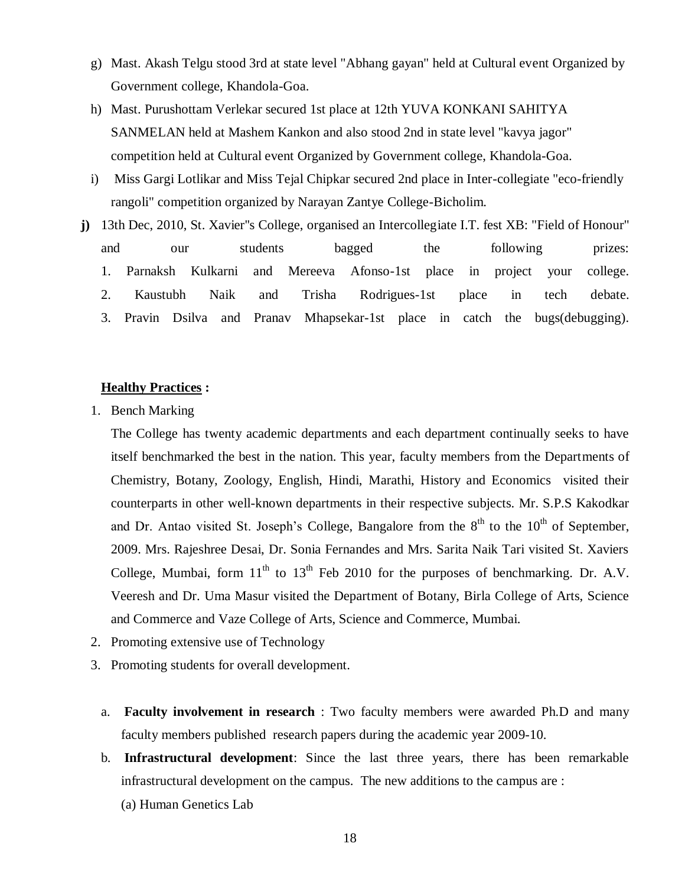- g) Mast. Akash Telgu stood 3rd at state level "Abhang gayan" held at Cultural event Organized by Government college, Khandola-Goa.
- h) Mast. Purushottam Verlekar secured 1st place at 12th YUVA KONKANI SAHITYA SANMELAN held at Mashem Kankon and also stood 2nd in state level "kavya jagor" competition held at Cultural event Organized by Government college, Khandola-Goa.
- i) Miss Gargi Lotlikar and Miss Tejal Chipkar secured 2nd place in Inter-collegiate "eco-friendly rangoli" competition organized by Narayan Zantye College-Bicholim.
- **j)** 13th Dec, 2010, St. Xavier''s College, organised an Intercollegiate I.T. fest XB: "Field of Honour" and our students bagged the following prizes: 1. Parnaksh Kulkarni and Mereeva Afonso-1st place in project your college. 2. Kaustubh Naik and Trisha Rodrigues-1st place in tech debate. 3. Pravin Dsilva and Pranav Mhapsekar-1st place in catch the bugs(debugging).

## **Healthy Practices :**

1. Bench Marking

The College has twenty academic departments and each department continually seeks to have itself benchmarked the best in the nation. This year, faculty members from the Departments of Chemistry, Botany, Zoology, English, Hindi, Marathi, History and Economics visited their counterparts in other well-known departments in their respective subjects. Mr. S.P.S Kakodkar and Dr. Antao visited St. Joseph's College, Bangalore from the  $8<sup>th</sup>$  to the  $10<sup>th</sup>$  of September, 2009. Mrs. Rajeshree Desai, Dr. Sonia Fernandes and Mrs. Sarita Naik Tari visited St. Xaviers College, Mumbai, form  $11<sup>th</sup>$  to  $13<sup>th</sup>$  Feb 2010 for the purposes of benchmarking. Dr. A.V. Veeresh and Dr. Uma Masur visited the Department of Botany, Birla College of Arts, Science and Commerce and Vaze College of Arts, Science and Commerce, Mumbai.

- 2. Promoting extensive use of Technology
- 3. Promoting students for overall development.
	- a. **Faculty involvement in research** : Two faculty members were awarded Ph.D and many faculty members published research papers during the academic year 2009-10.
	- b. **Infrastructural development**: Since the last three years, there has been remarkable infrastructural development on the campus. The new additions to the campus are :
		- (a) Human Genetics Lab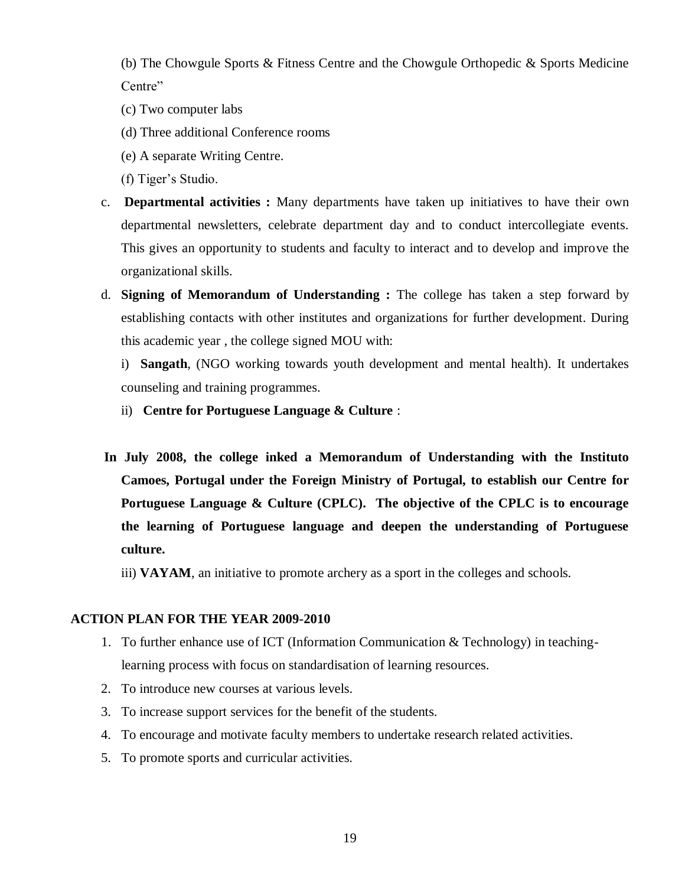(b) The Chowgule Sports & Fitness Centre and the Chowgule Orthopedic & Sports Medicine Centre"

- (c) Two computer labs
- (d) Three additional Conference rooms
- (e) A separate Writing Centre.
- (f) Tiger's Studio.
- c. **Departmental activities :** Many departments have taken up initiatives to have their own departmental newsletters, celebrate department day and to conduct intercollegiate events. This gives an opportunity to students and faculty to interact and to develop and improve the organizational skills.
- d. **Signing of Memorandum of Understanding :** The college has taken a step forward by establishing contacts with other institutes and organizations for further development. During this academic year , the college signed MOU with:

i) **Sangath**, (NGO working towards youth development and mental health). It undertakes counseling and training programmes.

- ii) **Centre for Portuguese Language & Culture** :
- **In July 2008, the college inked a Memorandum of Understanding with the Instituto Camoes, Portugal under the Foreign Ministry of Portugal, to establish our Centre for Portuguese Language & Culture (CPLC). The objective of the CPLC is to encourage the learning of Portuguese language and deepen the understanding of Portuguese culture.**

iii) **VAYAM**, an initiative to promote archery as a sport in the colleges and schools.

#### **ACTION PLAN FOR THE YEAR 2009-2010**

- 1. To further enhance use of ICT (Information Communication & Technology) in teachinglearning process with focus on standardisation of learning resources.
- 2. To introduce new courses at various levels.
- 3. To increase support services for the benefit of the students.
- 4. To encourage and motivate faculty members to undertake research related activities.
- 5. To promote sports and curricular activities.